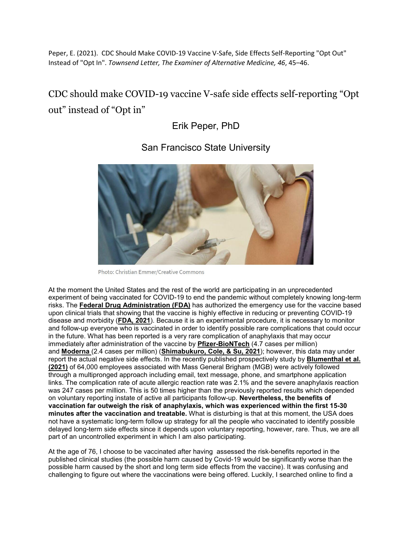Peper, E. (2021). CDC Should Make COVID-19 Vaccine V-Safe, Side Effects Self-Reporting "Opt Out" Instead of "Opt In". *Townsend Letter, The Examiner of Alternative Medicine, 46*, 45–46.

## CDC should make COVID-19 vaccine V-safe side effects self-reporting "Opt out" instead of "Opt in"

Erik Peper, PhD



San Francisco State University

At the moment the United States and the rest of the world are participating in an unprecedented experiment of being vaccinated for COVID-19 to end the pandemic without completely knowing long-term risks. The **Federal Drug [Administration](https://www.fda.gov/emergency-preparedness-and-response/coronavirus-disease-2019-covid-19/covid-19-vaccines) (FDA)** has authorized the emergency use for the vaccine based upon clinical trials that showing that the vaccine is highly effective in reducing or preventing COVID-19 disease and morbidity (**[FDA,](https://www.fda.gov/emergency-preparedness-and-response/coronavirus-disease-2019-covid-19/covid-19-vaccines) 2021**). Because it is an experimental procedure, it is necessary to monitor and follow-up everyone who is vaccinated in order to identify possible rare complications that could occur in the future. What has been reported is a very rare complication of anaphylaxis that may occur immediately after administration of the vaccine by **[Pfizer-BioNTech](https://www.fda.gov/emergency-preparedness-and-response/coronavirus-disease-2019-covid-19/pfizer-biontech-covid-19-vaccine)** (4.7 cases per million) and **[Moderna](https://www.fda.gov/emergency-preparedness-and-response/coronavirus-disease-2019-covid-19/moderna-covid-19-vaccine)** (2.4 cases per million) (**[Shimabukuro,](https://doi.org/10.1001/jama.2021.1967) Cole, & Su, 2021**); however, this data may under report the actual negative side effects. In the recently published prospectively study by **[Blumenthal](https://doi.org/10.1001/jama.2021.3976) et al. [\(2021\)](https://doi.org/10.1001/jama.2021.3976)** of 64,000 employees associated with Mass General Brigham (MGB) were actively followed through a multipronged approach including email, text message, phone, and smartphone application links. The complication rate of acute allergic reaction rate was 2.1% and the severe anaphylaxis reaction was 247 cases per million. This is 50 times higher than the previously reported results which depended on voluntary reporting instate of active all participants follow-up. **Nevertheless, the benefits of vaccination far outweigh the risk of anaphylaxis, which was experienced within the first 15-30 minutes after the vaccination and treatable.** What is disturbing is that at this moment, the USA does not have a systematic long-term follow up strategy for all the people who vaccinated to identify possible delayed long-term side effects since it depends upon voluntary reporting, however, rare. Thus, we are all part of an uncontrolled experiment in which I am also participating.

At the age of 76, I choose to be vaccinated after having assessed the risk-benefits reported in the published clinical studies (the possible harm caused by Covid-19 would be significantly worse than the possible harm caused by the short and long term side effects from the vaccine). It was confusing and challenging to figure out where the vaccinations were being offered. Luckily, I searched online to find a

Photo: Christian Emmer/Creative Commons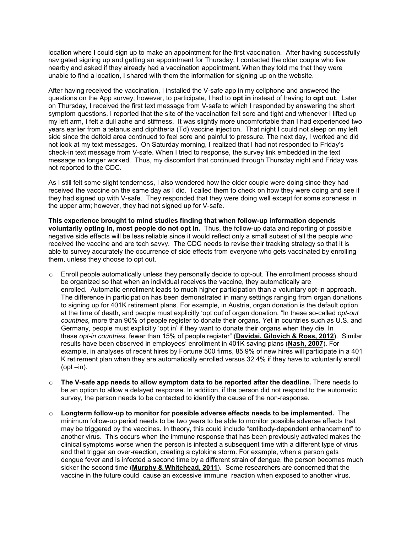location where I could sign up to make an appointment for the first vaccination. After having successfully navigated signing up and getting an appointment for Thursday, I contacted the older couple who live nearby and asked if they already had a vaccination appointment. When they told me that they were unable to find a location, I shared with them the information for signing up on the website.

After having received the vaccination, I installed the V-safe app in my cellphone and answered the questions on the App survey; however, to participate, I had to **opt in** instead of having to **opt out**. Later on Thursday, I received the first text message from V-safe to which I responded by answering the short symptom questions. I reported that the site of the vaccination felt sore and tight and whenever I lifted up my left arm, I felt a dull ache and stiffness. It was slightly more uncomfortable than I had experienced two years earlier from a tetanus and diphtheria (Td) vaccine injection. That night I could not sleep on my left side since the deltoid area continued to feel sore and painful to pressure. The next day, I worked and did not look at my text messages. On Saturday morning, I realized that I had not responded to Friday's check-in text message from V-safe. When I tried to response, the survey link embedded in the text message no longer worked. Thus, my discomfort that continued through Thursday night and Friday was not reported to the CDC.

As I still felt some slight tenderness, I also wondered how the older couple were doing since they had received the vaccine on the same day as I did. I called them to check on how they were doing and see if they had signed up with V-safe. They responded that they were doing well except for some soreness in the upper arm; however, they had not signed up for V-safe.

**This experience brought to mind studies finding that when follow-up information depends voluntarily opting in, most people do not opt in.** Thus, the follow-up data and reporting of possible negative side effects will be less reliable since it would reflect only a small subset of all the people who received the vaccine and are tech savvy. The CDC needs to revise their tracking strategy so that it is able to survey accurately the occurrence of side effects from everyone who gets vaccinated by enrolling them, unless they choose to opt out.

- o Enroll people automatically unless they personally decide to opt-out. The enrollment process should be organized so that when an individual receives the vaccine, they automatically are enrolled. Automatic enrollment leads to much higher participation than a voluntary opt-in approach. The difference in participation has been demonstrated in many settings ranging from organ donations to signing up for 401K retirement plans. For example, in Austria, organ donation is the default option at the time of death, and people must explicitly 'opt out'of organ donation. "In these so-called *opt-out countries,* more than 90% of people register to donate their organs. Yet in countries such as U.S. and Germany, people must explicitly 'opt in' if they want to donate their organs when they die. In these *opt-in countries,* fewer than 15% of people register" (**Davidai, [Gilovich](https://doi.org/10.1073/pnas.1211695109) & Ross, 2012**). Similar results have been observed in employees' enrollment in 401K saving plans (**[Nash,](https://core.ac.uk/download/pdf/6670505.pdf) 2007**). For example, in analyses of recent hires by Fortune 500 firms, 85.9% of new hires will participate in a 401 K retirement plan when they are automatically enrolled versus 32.4% if they have to voluntarily enroll  $(opt-in)$ .
- o **The V-safe app needs to allow symptom data to be reported after the deadline.** There needs to be an option to allow a delayed response. In addition, if the person did not respond to the automatic survey, the person needs to be contacted to identify the cause of the non-response.
- o **Longterm follow-up to monitor for possible adverse effects needs to be implemented.** The minimum follow-up period needs to be two years to be able to monitor possible adverse effects that may be triggered by the vaccines. In theory, this could include "antibody-dependent enhancement" to another virus. This occurs when the immune response that has been previously activated makes the clinical symptoms worse when the person is infected a subsequent time with a different type of virus and that trigger an over-reaction, creating a cytokine storm. For example, when a person gets dengue fever and is infected a second time by a different strain of dengue, the person becomes much sicker the second time (**Murphy & [Whitehead,](https://doi.org/10.1146/annurev-immunol-031210-101315) 2011**). Some researchers are concerned that the vaccine in the future could cause an excessive immune reaction when exposed to another virus.